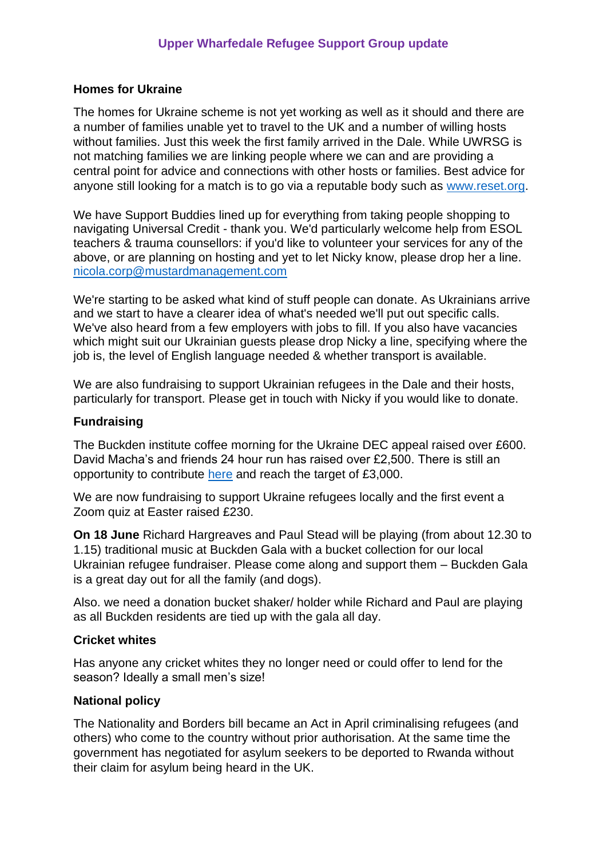## **Homes for Ukraine**

The homes for Ukraine scheme is not yet working as well as it should and there are a number of families unable yet to travel to the UK and a number of willing hosts without families. Just this week the first family arrived in the Dale. While UWRSG is not matching families we are linking people where we can and are providing a central point for advice and connections with other hosts or families. Best advice for anyone still looking for a match is to go via a reputable body such as [www.reset.org.](http://www.reset.org/)

We have Support Buddies lined up for everything from taking people shopping to navigating Universal Credit - thank you. We'd particularly welcome help from ESOL teachers & trauma counsellors: if you'd like to volunteer your services for any of the above, or are planning on hosting and yet to let Nicky know, please drop her a line. [nicola.corp@mustardmanagement.com](mailto:nicola.corp@mustardmanagement.com)

We're starting to be asked what kind of stuff people can donate. As Ukrainians arrive and we start to have a clearer idea of what's needed we'll put out specific calls. We've also heard from a few employers with jobs to fill. If you also have vacancies which might suit our Ukrainian guests please drop Nicky a line, specifying where the job is, the level of English language needed & whether transport is available.

We are also fundraising to support Ukrainian refugees in the Dale and their hosts, particularly for transport. Please get in touch with Nicky if you would like to donate.

## **Fundraising**

The Buckden institute coffee morning for the Ukraine DEC appeal raised over £600. David Macha's and friends 24 hour run has raised over £2,500. There is still an opportunity to contribute [here](https://www.justgiving.com/fundraising/xaviandavidfriends?msclkid=c78c6ad2d04011ec89f910d445a5293a) and reach the target of £3,000.

We are now fundraising to support Ukraine refugees locally and the first event a Zoom quiz at Easter raised £230.

**On 18 June** Richard Hargreaves and Paul Stead will be playing (from about 12.30 to 1.15) traditional music at Buckden Gala with a bucket collection for our local Ukrainian refugee fundraiser. Please come along and support them – Buckden Gala is a great day out for all the family (and dogs).

Also. we need a donation bucket shaker/ holder while Richard and Paul are playing as all Buckden residents are tied up with the gala all day.

#### **Cricket whites**

Has anyone any cricket whites they no longer need or could offer to lend for the season? Ideally a small men's size!

#### **National policy**

The Nationality and Borders bill became an Act in April criminalising refugees (and others) who come to the country without prior authorisation. At the same time the government has negotiated for asylum seekers to be deported to Rwanda without their claim for asylum being heard in the UK.